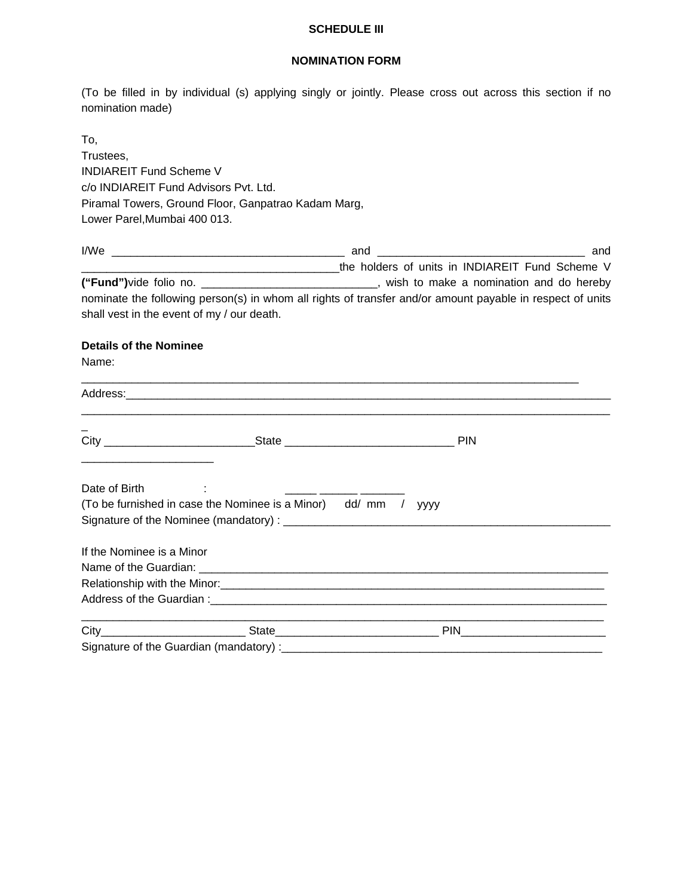## **SCHEDULE III**

## **NOMINATION FORM**

(To be filled in by individual (s) applying singly or jointly. Please cross out across this section if no nomination made)

| To.                                                                                                                                                                                                                            |  |                                                                                                  |                                                                                                           |  |  |  |  |                                                     |
|--------------------------------------------------------------------------------------------------------------------------------------------------------------------------------------------------------------------------------|--|--------------------------------------------------------------------------------------------------|-----------------------------------------------------------------------------------------------------------|--|--|--|--|-----------------------------------------------------|
| Trustees,                                                                                                                                                                                                                      |  |                                                                                                  |                                                                                                           |  |  |  |  |                                                     |
| <b>INDIAREIT Fund Scheme V</b><br>c/o INDIAREIT Fund Advisors Pvt. Ltd.                                                                                                                                                        |  |                                                                                                  |                                                                                                           |  |  |  |  |                                                     |
|                                                                                                                                                                                                                                |  |                                                                                                  |                                                                                                           |  |  |  |  | Piramal Towers, Ground Floor, Ganpatrao Kadam Marg, |
| Lower Parel, Mumbai 400 013.                                                                                                                                                                                                   |  |                                                                                                  |                                                                                                           |  |  |  |  |                                                     |
|                                                                                                                                                                                                                                |  |                                                                                                  | and                                                                                                       |  |  |  |  |                                                     |
|                                                                                                                                                                                                                                |  | LACK THE MUSIC SCHOOL TEAM CORRECT Fund Scheme V                                                 |                                                                                                           |  |  |  |  |                                                     |
|                                                                                                                                                                                                                                |  | ("Fund")vide folio no. ________________________________, wish to make a nomination and do hereby |                                                                                                           |  |  |  |  |                                                     |
|                                                                                                                                                                                                                                |  |                                                                                                  | nominate the following person(s) in whom all rights of transfer and/or amount payable in respect of units |  |  |  |  |                                                     |
| shall vest in the event of my / our death.                                                                                                                                                                                     |  |                                                                                                  |                                                                                                           |  |  |  |  |                                                     |
| <b>Details of the Nominee</b>                                                                                                                                                                                                  |  |                                                                                                  |                                                                                                           |  |  |  |  |                                                     |
| Name:                                                                                                                                                                                                                          |  |                                                                                                  |                                                                                                           |  |  |  |  |                                                     |
|                                                                                                                                                                                                                                |  |                                                                                                  |                                                                                                           |  |  |  |  |                                                     |
| Address: Address: Address: Address: Address: Address: Address: Address: Address: Address: Address: Address: Address: Address: Address: Address: Address: Address: Address: Address: Address: Address: Address: Address: Addres |  |                                                                                                  |                                                                                                           |  |  |  |  |                                                     |
|                                                                                                                                                                                                                                |  |                                                                                                  |                                                                                                           |  |  |  |  |                                                     |
|                                                                                                                                                                                                                                |  |                                                                                                  |                                                                                                           |  |  |  |  |                                                     |
|                                                                                                                                                                                                                                |  |                                                                                                  |                                                                                                           |  |  |  |  |                                                     |
|                                                                                                                                                                                                                                |  |                                                                                                  |                                                                                                           |  |  |  |  |                                                     |
| Date of Birth                                                                                                                                                                                                                  |  |                                                                                                  |                                                                                                           |  |  |  |  |                                                     |
| (To be furnished in case the Nominee is a Minor) dd/ mm / yyyy                                                                                                                                                                 |  |                                                                                                  |                                                                                                           |  |  |  |  |                                                     |
|                                                                                                                                                                                                                                |  |                                                                                                  |                                                                                                           |  |  |  |  |                                                     |
|                                                                                                                                                                                                                                |  |                                                                                                  |                                                                                                           |  |  |  |  |                                                     |
| If the Nominee is a Minor                                                                                                                                                                                                      |  |                                                                                                  |                                                                                                           |  |  |  |  |                                                     |
|                                                                                                                                                                                                                                |  |                                                                                                  |                                                                                                           |  |  |  |  |                                                     |
| Relationship with the Minor: 1990 Minor: 2008 Manual Manual Minor Structure and Minor Structure and Minor Structure and Minor Structure and Minor Structure and Minor Structure and Minor Structure and Minor Structure and Mi |  |                                                                                                  |                                                                                                           |  |  |  |  |                                                     |
| Address of the Guardian: example of the state of the state of the state of the state of the state of the state of the state of the state of the state of the state of the state of the state of the state of the state of the  |  |                                                                                                  |                                                                                                           |  |  |  |  |                                                     |
|                                                                                                                                                                                                                                |  |                                                                                                  | PIN                                                                                                       |  |  |  |  |                                                     |
| Signature of the Guardian (mandatory) :                                                                                                                                                                                        |  |                                                                                                  |                                                                                                           |  |  |  |  |                                                     |